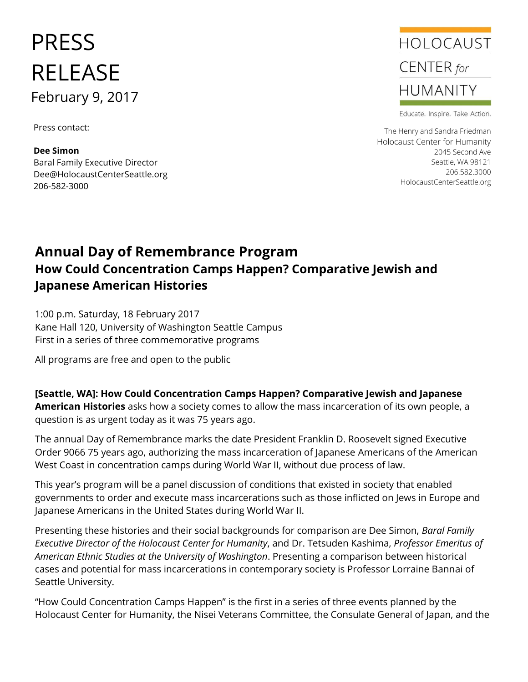# PRESS RELEASE February 9, 2017

Press contact:

**Dee Simon** Baral Family Executive Director Dee@HolocaustCenterSeattle.org 206-582-3000



Educate. Inspire. Take Action.

The Henry and Sandra Friedman Holocaust Center for Humanity 2045 Second Ave Seattle, WA 98121 206.582.3000 HolocaustCenterSeattle.org

## **Annual Day of Remembrance Program How Could Concentration Camps Happen? Comparative Jewish and Japanese American Histories**

1:00 p.m. Saturday, 18 February 2017 Kane Hall 120, University of Washington Seattle Campus First in a series of three commemorative programs

All programs are free and open to the public

**[Seattle, WA]: How Could Concentration Camps Happen? Comparative Jewish and Japanese American Histories** asks how a society comes to allow the mass incarceration of its own people, a question is as urgent today as it was 75 years ago.

The annual Day of Remembrance marks the date President Franklin D. Roosevelt signed Executive Order 9066 75 years ago, authorizing the mass incarceration of Japanese Americans of the American West Coast in concentration camps during World War II, without due process of law.

This year's program will be a panel discussion of conditions that existed in society that enabled governments to order and execute mass incarcerations such as those inflicted on Jews in Europe and Japanese Americans in the United States during World War II.

Presenting these histories and their social backgrounds for comparison are Dee Simon, *Baral Family Executive Director of the Holocaust Center for Humanity*, and Dr. Tetsuden Kashima, *Professor Emeritus of American Ethnic Studies at the University of Washington*. Presenting a comparison between historical cases and potential for mass incarcerations in contemporary society is Professor Lorraine Bannai of Seattle University.

"How Could Concentration Camps Happen" is the first in a series of three events planned by the Holocaust Center for Humanity, the Nisei Veterans Committee, the Consulate General of Japan, and the